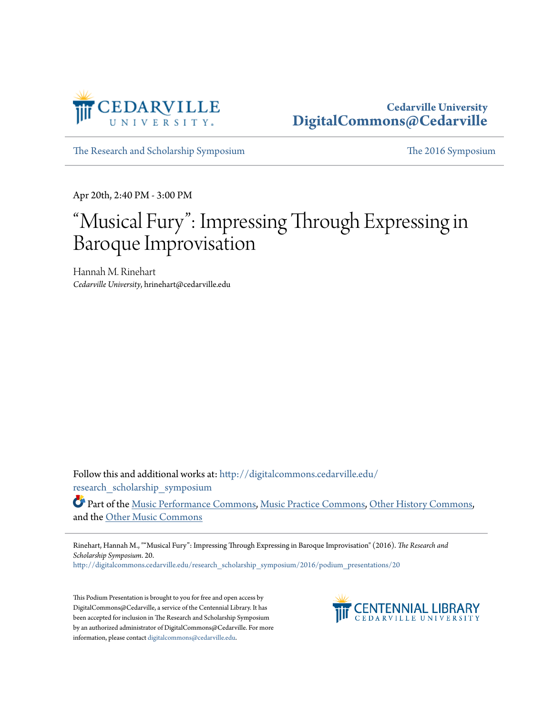

## **Cedarville University [DigitalCommons@Cedarville](http://digitalcommons.cedarville.edu?utm_source=digitalcommons.cedarville.edu%2Fresearch_scholarship_symposium%2F2016%2Fpodium_presentations%2F20&utm_medium=PDF&utm_campaign=PDFCoverPages)**

[The Research and Scholarship Symposium](http://digitalcommons.cedarville.edu/research_scholarship_symposium?utm_source=digitalcommons.cedarville.edu%2Fresearch_scholarship_symposium%2F2016%2Fpodium_presentations%2F20&utm_medium=PDF&utm_campaign=PDFCoverPages) [The 2016 Symposium](http://digitalcommons.cedarville.edu/research_scholarship_symposium/2016?utm_source=digitalcommons.cedarville.edu%2Fresearch_scholarship_symposium%2F2016%2Fpodium_presentations%2F20&utm_medium=PDF&utm_campaign=PDFCoverPages)

Apr 20th, 2:40 PM - 3:00 PM

## "Musical Fury": Impressing Through Expressing in Baroque Improvisation

Hannah M. Rinehart *Cedarville University*, hrinehart@cedarville.edu

Follow this and additional works at: [http://digitalcommons.cedarville.edu/](http://digitalcommons.cedarville.edu/research_scholarship_symposium?utm_source=digitalcommons.cedarville.edu%2Fresearch_scholarship_symposium%2F2016%2Fpodium_presentations%2F20&utm_medium=PDF&utm_campaign=PDFCoverPages) [research\\_scholarship\\_symposium](http://digitalcommons.cedarville.edu/research_scholarship_symposium?utm_source=digitalcommons.cedarville.edu%2Fresearch_scholarship_symposium%2F2016%2Fpodium_presentations%2F20&utm_medium=PDF&utm_campaign=PDFCoverPages)

Part of the [Music Performance Commons](http://network.bepress.com/hgg/discipline/1128?utm_source=digitalcommons.cedarville.edu%2Fresearch_scholarship_symposium%2F2016%2Fpodium_presentations%2F20&utm_medium=PDF&utm_campaign=PDFCoverPages), [Music Practice Commons](http://network.bepress.com/hgg/discipline/523?utm_source=digitalcommons.cedarville.edu%2Fresearch_scholarship_symposium%2F2016%2Fpodium_presentations%2F20&utm_medium=PDF&utm_campaign=PDFCoverPages), [Other History Commons](http://network.bepress.com/hgg/discipline/508?utm_source=digitalcommons.cedarville.edu%2Fresearch_scholarship_symposium%2F2016%2Fpodium_presentations%2F20&utm_medium=PDF&utm_campaign=PDFCoverPages), and the [Other Music Commons](http://network.bepress.com/hgg/discipline/524?utm_source=digitalcommons.cedarville.edu%2Fresearch_scholarship_symposium%2F2016%2Fpodium_presentations%2F20&utm_medium=PDF&utm_campaign=PDFCoverPages)

Rinehart, Hannah M., ""Musical Fury": Impressing Through Expressing in Baroque Improvisation" (2016). *The Research and Scholarship Symposium*. 20.

[http://digitalcommons.cedarville.edu/research\\_scholarship\\_symposium/2016/podium\\_presentations/20](http://digitalcommons.cedarville.edu/research_scholarship_symposium/2016/podium_presentations/20?utm_source=digitalcommons.cedarville.edu%2Fresearch_scholarship_symposium%2F2016%2Fpodium_presentations%2F20&utm_medium=PDF&utm_campaign=PDFCoverPages)

This Podium Presentation is brought to you for free and open access by DigitalCommons@Cedarville, a service of the Centennial Library. It has been accepted for inclusion in The Research and Scholarship Symposium by an authorized administrator of DigitalCommons@Cedarville. For more information, please contact [digitalcommons@cedarville.edu.](mailto:digitalcommons@cedarville.edu)

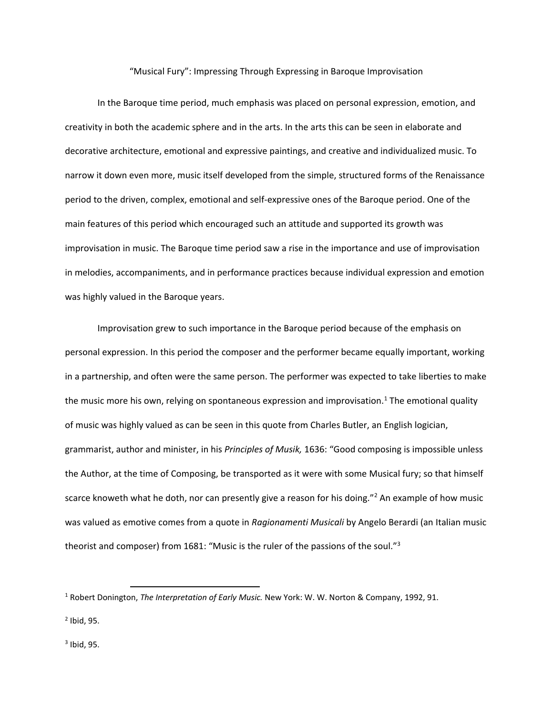"Musical Fury": Impressing Through Expressing in Baroque Improvisation

In the Baroque time period, much emphasis was placed on personal expression, emotion, and creativity in both the academic sphere and in the arts. In the arts this can be seen in elaborate and decorative architecture, emotional and expressive paintings, and creative and individualized music. To narrow it down even more, music itself developed from the simple, structured forms of the Renaissance period to the driven, complex, emotional and self-expressive ones of the Baroque period. One of the main features of this period which encouraged such an attitude and supported its growth was improvisation in music. The Baroque time period saw a rise in the importance and use of improvisation in melodies, accompaniments, and in performance practices because individual expression and emotion was highly valued in the Baroque years.

Improvisation grew to such importance in the Baroque period because of the emphasis on personal expression. In this period the composer and the performer became equally important, working in a partnership, and often were the same person. The performer was expected to take liberties to make the music more his own, relying on spontaneous expression and improvisation.<sup>1</sup> The emotional quality of music was highly valued as can be seen in this quote from Charles Butler, an English logician, grammarist, author and minister, in his *Principles of Musik,* 1636: "Good composing is impossible unless the Author, at the time of Composing, be transported as it were with some Musical fury; so that himself scarce knoweth what he doth, nor can presently give a reason for his doing."<sup>2</sup> An example of how music was valued as emotive comes from a quote in *Ragionamenti Musicali* by Angelo Berardi (an Italian music theorist and composer) from 1681: "Music is the ruler of the passions of the soul."<sup>3</sup>

 $\overline{a}$ 

<sup>1</sup> Robert Donington, *The Interpretation of Early Music.* New York: W. W. Norton & Company, 1992, 91.

<sup>2</sup> Ibid, 95.

 $3$  Ibid, 95.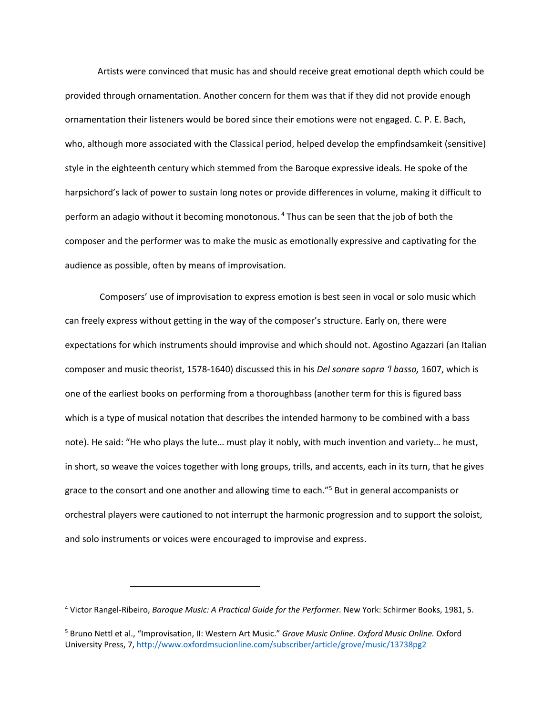Artists were convinced that music has and should receive great emotional depth which could be provided through ornamentation. Another concern for them was that if they did not provide enough ornamentation their listeners would be bored since their emotions were not engaged. C. P. E. Bach, who, although more associated with the Classical period, helped develop the empfindsamkeit (sensitive) style in the eighteenth century which stemmed from the Baroque expressive ideals. He spoke of the harpsichord's lack of power to sustain long notes or provide differences in volume, making it difficult to perform an adagio without it becoming monotonous. <sup>4</sup> Thus can be seen that the job of both the composer and the performer was to make the music as emotionally expressive and captivating for the audience as possible, often by means of improvisation.

Composers' use of improvisation to express emotion is best seen in vocal or solo music which can freely express without getting in the way of the composer's structure. Early on, there were expectations for which instruments should improvise and which should not. Agostino Agazzari (an Italian composer and music theorist, 1578-1640) discussed this in his *Del sonare sopra 'l basso,* 1607, which is one of the earliest books on performing from a thoroughbass (another term for this is figured bass which is a type of musical notation that describes the intended harmony to be combined with a bass note). He said: "He who plays the lute… must play it nobly, with much invention and variety… he must, in short, so weave the voices together with long groups, trills, and accents, each in its turn, that he gives grace to the consort and one another and allowing time to each."<sup>5</sup> But in general accompanists or orchestral players were cautioned to not interrupt the harmonic progression and to support the soloist, and solo instruments or voices were encouraged to improvise and express.

 $\overline{a}$ 

<sup>4</sup> Victor Rangel-Ribeiro, *Baroque Music: A Practical Guide for the Performer.* New York: Schirmer Books, 1981, 5.

<sup>5</sup> Bruno Nettl et al., "Improvisation, II: Western Art Music." *Grove Music Online. Oxford Music Online.* Oxford University Press, 7[, http://www.oxfordmsucionline.com/subscriber/article/grove/music/13738pg2](http://www.oxfordmsucionline.com/subscriber/article/grove/music/13738pg2)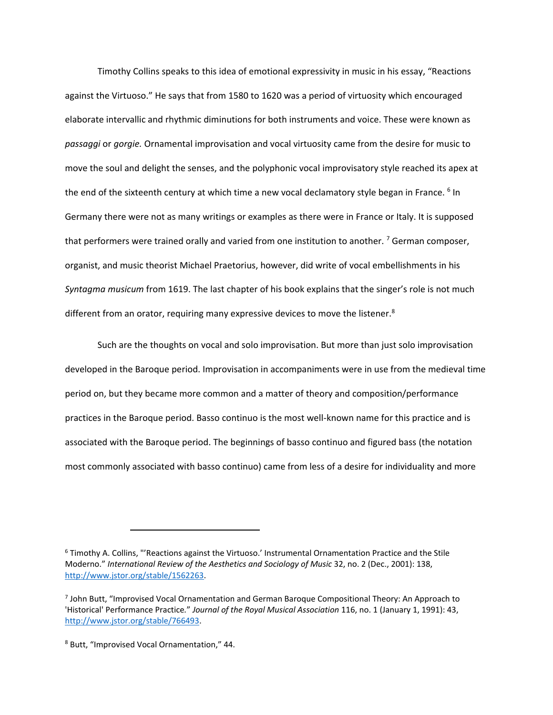Timothy Collins speaks to this idea of emotional expressivity in music in his essay, "Reactions against the Virtuoso." He says that from 1580 to 1620 was a period of virtuosity which encouraged elaborate intervallic and rhythmic diminutions for both instruments and voice. These were known as *passaggi* or *gorgie.* Ornamental improvisation and vocal virtuosity came from the desire for music to move the soul and delight the senses, and the polyphonic vocal improvisatory style reached its apex at the end of the sixteenth century at which time a new vocal declamatory style began in France. <sup>6</sup> In Germany there were not as many writings or examples as there were in France or Italy. It is supposed that performers were trained orally and varied from one institution to another.<sup>7</sup> German composer, organist, and music theorist Michael Praetorius, however, did write of vocal embellishments in his *Syntagma musicum* from 1619. The last chapter of his book explains that the singer's role is not much different from an orator, requiring many expressive devices to move the listener.<sup>8</sup>

Such are the thoughts on vocal and solo improvisation. But more than just solo improvisation developed in the Baroque period. Improvisation in accompaniments were in use from the medieval time period on, but they became more common and a matter of theory and composition/performance practices in the Baroque period. Basso continuo is the most well-known name for this practice and is associated with the Baroque period. The beginnings of basso continuo and figured bass (the notation most commonly associated with basso continuo) came from less of a desire for individuality and more

<sup>6</sup> Timothy A. Collins, "'Reactions against the Virtuoso.' Instrumental Ornamentation Practice and the Stile Moderno." *International Review of the Aesthetics and Sociology of Music* 32, no. 2 (Dec., 2001): 138, [http://www.jstor.org/stable/1562263.](http://www.jstor.org/stable/1562263)

<sup>7</sup> John Butt, "Improvised Vocal Ornamentation and German Baroque Compositional Theory: An Approach to 'Historical' Performance Practice*.*" *Journal of the Royal Musical Association* 116, no. 1 (January 1, 1991): 43, [http://www.jstor.org/stable/766493.](http://www.jstor.org/stable/766493)

<sup>8</sup> Butt, "Improvised Vocal Ornamentation," 44.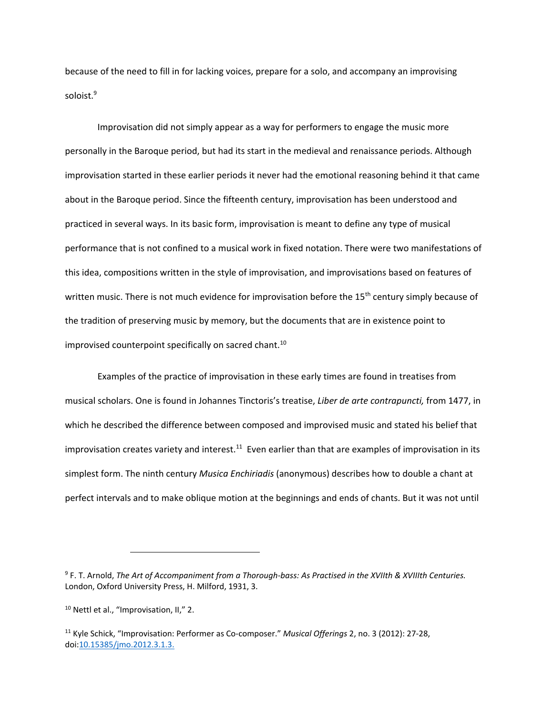because of the need to fill in for lacking voices, prepare for a solo, and accompany an improvising soloist.<sup>9</sup>

Improvisation did not simply appear as a way for performers to engage the music more personally in the Baroque period, but had its start in the medieval and renaissance periods. Although improvisation started in these earlier periods it never had the emotional reasoning behind it that came about in the Baroque period. Since the fifteenth century, improvisation has been understood and practiced in several ways. In its basic form, improvisation is meant to define any type of musical performance that is not confined to a musical work in fixed notation. There were two manifestations of this idea, compositions written in the style of improvisation, and improvisations based on features of written music. There is not much evidence for improvisation before the 15<sup>th</sup> century simply because of the tradition of preserving music by memory, but the documents that are in existence point to improvised counterpoint specifically on sacred chant.<sup>10</sup>

Examples of the practice of improvisation in these early times are found in treatises from musical scholars. One is found in Johannes Tinctoris's treatise, *Liber de arte contrapuncti,* from 1477, in which he described the difference between composed and improvised music and stated his belief that improvisation creates variety and interest.<sup>11</sup> Even earlier than that are examples of improvisation in its simplest form. The ninth century *Musica Enchiriadis* (anonymous) describes how to double a chant at perfect intervals and to make oblique motion at the beginnings and ends of chants. But it was not until

<sup>9</sup> F. T. Arnold, *The Art of Accompaniment from a Thorough-bass: As Practised in the XVIIth & XVIIIth Centuries.*  London, Oxford University Press, H. Milford, 1931, 3.

<sup>10</sup> Nettl et al., "Improvisation, II," 2.

<sup>11</sup> Kyle Schick, "Improvisation: Performer as Co-composer." *Musical Offerings* 2, no. 3 (2012): 27-28, doi[:10.15385/jmo.2012.3.1.3.](http://dx.doi.org/10.15385/jmo.2012.3.1.3)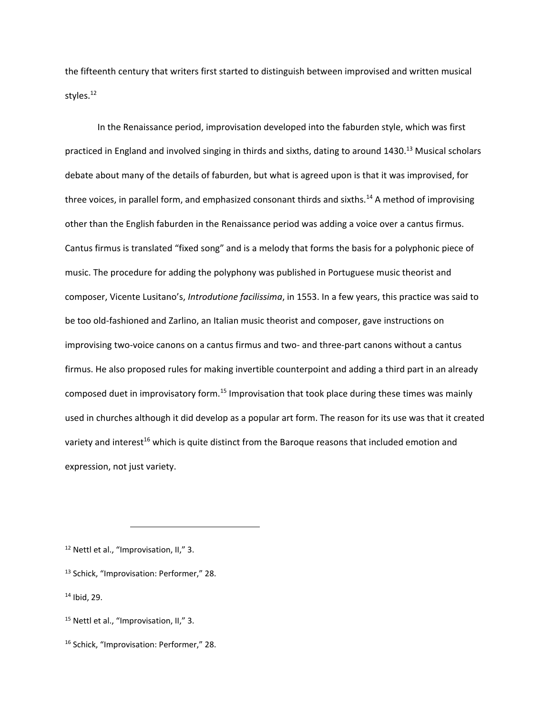the fifteenth century that writers first started to distinguish between improvised and written musical styles.<sup>12</sup>

In the Renaissance period, improvisation developed into the faburden style, which was first practiced in England and involved singing in thirds and sixths, dating to around 1430.<sup>13</sup> Musical scholars debate about many of the details of faburden, but what is agreed upon is that it was improvised, for three voices, in parallel form, and emphasized consonant thirds and sixths.<sup>14</sup> A method of improvising other than the English faburden in the Renaissance period was adding a voice over a cantus firmus. Cantus firmus is translated "fixed song" and is a melody that forms the basis for a polyphonic piece of music. The procedure for adding the polyphony was published in Portuguese music theorist and composer, Vicente Lusitano's, *Introdutione facilissima*, in 1553. In a few years, this practice was said to be too old-fashioned and Zarlino, an Italian music theorist and composer, gave instructions on improvising two-voice canons on a cantus firmus and two- and three-part canons without a cantus firmus. He also proposed rules for making invertible counterpoint and adding a third part in an already composed duet in improvisatory form.<sup>15</sup> Improvisation that took place during these times was mainly used in churches although it did develop as a popular art form. The reason for its use was that it created variety and interest<sup>16</sup> which is quite distinct from the Baroque reasons that included emotion and expression, not just variety.

<sup>12</sup> Nettl et al., "Improvisation, II," 3.

<sup>13</sup> Schick, "Improvisation: Performer," 28.

<sup>14</sup> Ibid, 29.

<sup>&</sup>lt;sup>15</sup> Nettl et al., "Improvisation, II," 3.

<sup>16</sup> Schick, "Improvisation: Performer," 28.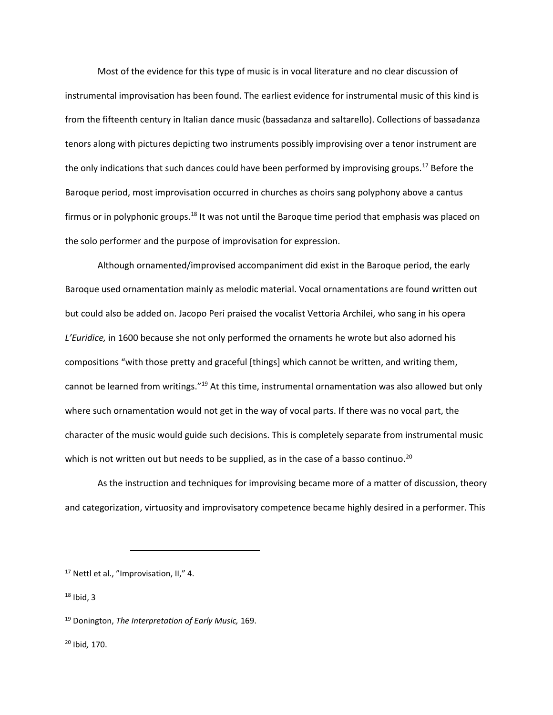Most of the evidence for this type of music is in vocal literature and no clear discussion of instrumental improvisation has been found. The earliest evidence for instrumental music of this kind is from the fifteenth century in Italian dance music (bassadanza and saltarello). Collections of bassadanza tenors along with pictures depicting two instruments possibly improvising over a tenor instrument are the only indications that such dances could have been performed by improvising groups.<sup>17</sup> Before the Baroque period, most improvisation occurred in churches as choirs sang polyphony above a cantus firmus or in polyphonic groups.<sup>18</sup> It was not until the Baroque time period that emphasis was placed on the solo performer and the purpose of improvisation for expression.

Although ornamented/improvised accompaniment did exist in the Baroque period, the early Baroque used ornamentation mainly as melodic material. Vocal ornamentations are found written out but could also be added on. Jacopo Peri praised the vocalist Vettoria Archilei, who sang in his opera *L'Euridice,* in 1600 because she not only performed the ornaments he wrote but also adorned his compositions "with those pretty and graceful [things] which cannot be written, and writing them, cannot be learned from writings."<sup>19</sup> At this time, instrumental ornamentation was also allowed but only where such ornamentation would not get in the way of vocal parts. If there was no vocal part, the character of the music would guide such decisions. This is completely separate from instrumental music which is not written out but needs to be supplied, as in the case of a basso continuo.<sup>20</sup>

As the instruction and techniques for improvising became more of a matter of discussion, theory and categorization, virtuosity and improvisatory competence became highly desired in a performer. This

<sup>17</sup> Nettl et al., "Improvisation, II," 4.

 $\overline{\phantom{a}}$ 

 $18$  Ibid, 3

<sup>20</sup> Ibid*,* 170.

<sup>19</sup> Donington, *The Interpretation of Early Music,* 169.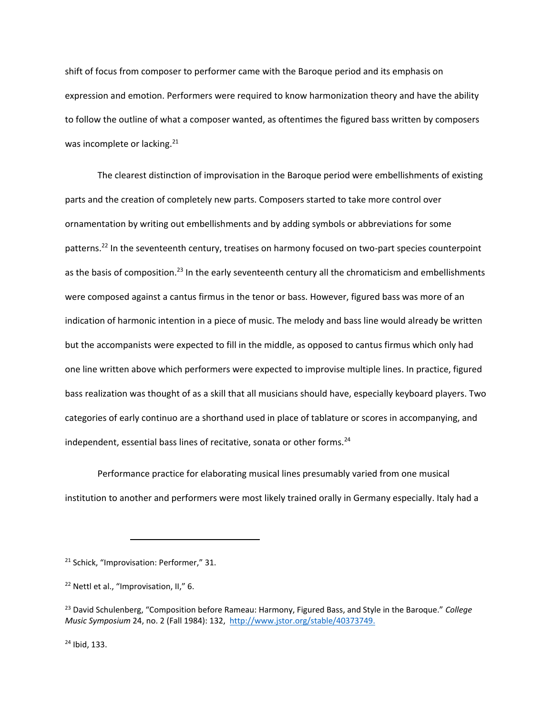shift of focus from composer to performer came with the Baroque period and its emphasis on expression and emotion. Performers were required to know harmonization theory and have the ability to follow the outline of what a composer wanted, as oftentimes the figured bass written by composers was incomplete or lacking.<sup>21</sup>

The clearest distinction of improvisation in the Baroque period were embellishments of existing parts and the creation of completely new parts. Composers started to take more control over ornamentation by writing out embellishments and by adding symbols or abbreviations for some patterns.<sup>22</sup> In the seventeenth century, treatises on harmony focused on two-part species counterpoint as the basis of composition.<sup>23</sup> In the early seventeenth century all the chromaticism and embellishments were composed against a cantus firmus in the tenor or bass. However, figured bass was more of an indication of harmonic intention in a piece of music. The melody and bass line would already be written but the accompanists were expected to fill in the middle, as opposed to cantus firmus which only had one line written above which performers were expected to improvise multiple lines. In practice, figured bass realization was thought of as a skill that all musicians should have, especially keyboard players. Two categories of early continuo are a shorthand used in place of tablature or scores in accompanying, and independent, essential bass lines of recitative, sonata or other forms.<sup>24</sup>

Performance practice for elaborating musical lines presumably varied from one musical institution to another and performers were most likely trained orally in Germany especially. Italy had a

 $\overline{\phantom{a}}$ 

<sup>24</sup> Ibid, 133.

<sup>&</sup>lt;sup>21</sup> Schick, "Improvisation: Performer," 31.

<sup>22</sup> Nettl et al., "Improvisation, II," 6.

<sup>23</sup> David Schulenberg, "Composition before Rameau: Harmony, Figured Bass, and Style in the Baroque." *College Music Symposium* 24, no. 2 (Fall 1984): 132, [http://www.jstor.org/stable/40373749.](http://www.jstor.org/stable/40373749)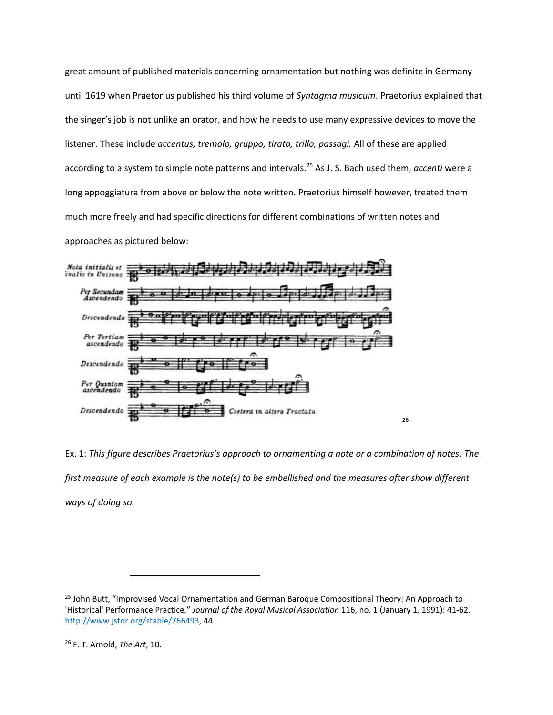great amount of published materials concerning ornamentation but nothing was definite in Germany until 1619 when Praetorius published his third volume of *Syntagma musicum*. Praetorius explained that the singer's job is not unlike an orator, and how he needs to use many expressive devices to move the listener. These include *accentus, tremolo, gruppo, tirata, trillo, passagi.* All of these are applied according to a system to simple note patterns and intervals.<sup>25</sup> As J. S. Bach used them, *accenti* were a long appoggiatura from above or below the note written. Praetorius himself however, treated them much more freely and had specific directions for different combinations of written notes and approaches as pictured below:



Ex. 1: *This figure describes Praetorius's approach to ornamenting a note or a combination of notes. The first measure of each example is the note(s) to be embellished and the measures after show different ways of doing so.*

<sup>&</sup>lt;sup>25</sup> John Butt, "Improvised Vocal Ornamentation and German Baroque Compositional Theory: An Approach to 'Historical' Performance Practice*.*" *Journal of the Royal Musical Association* 116, no. 1 (January 1, 1991): 41-62. [http://www.jstor.org/stable/766493,](http://www.jstor.org/stable/766493) 44.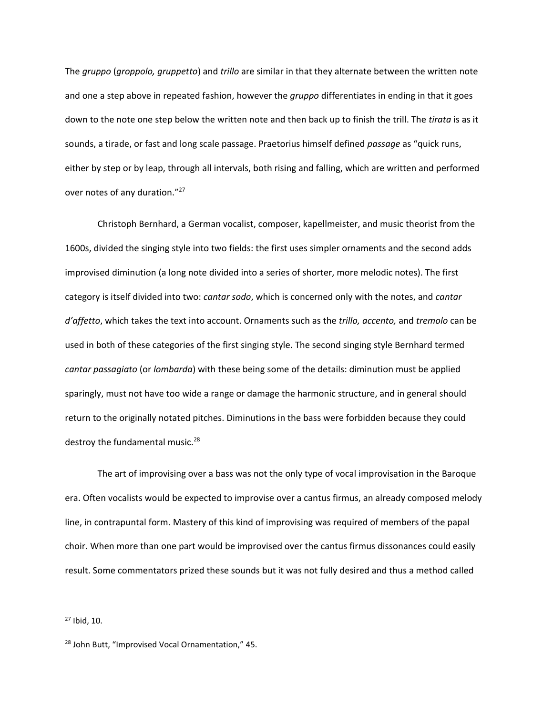The *gruppo* (*groppolo, gruppetto*) and *trillo* are similar in that they alternate between the written note and one a step above in repeated fashion, however the *gruppo* differentiates in ending in that it goes down to the note one step below the written note and then back up to finish the trill. The *tirata* is as it sounds, a tirade, or fast and long scale passage. Praetorius himself defined *passage* as "quick runs, either by step or by leap, through all intervals, both rising and falling, which are written and performed over notes of any duration."<sup>27</sup>

Christoph Bernhard, a German vocalist, composer, kapellmeister, and music theorist from the 1600s, divided the singing style into two fields: the first uses simpler ornaments and the second adds improvised diminution (a long note divided into a series of shorter, more melodic notes). The first category is itself divided into two: *cantar sodo*, which is concerned only with the notes, and *cantar d'affetto*, which takes the text into account. Ornaments such as the *trillo, accento,* and *tremolo* can be used in both of these categories of the first singing style. The second singing style Bernhard termed *cantar passagiato* (or *lombarda*) with these being some of the details: diminution must be applied sparingly, must not have too wide a range or damage the harmonic structure, and in general should return to the originally notated pitches. Diminutions in the bass were forbidden because they could destroy the fundamental music.<sup>28</sup>

The art of improvising over a bass was not the only type of vocal improvisation in the Baroque era. Often vocalists would be expected to improvise over a cantus firmus, an already composed melody line, in contrapuntal form. Mastery of this kind of improvising was required of members of the papal choir. When more than one part would be improvised over the cantus firmus dissonances could easily result. Some commentators prized these sounds but it was not fully desired and thus a method called

<sup>27</sup> Ibid, 10.

<sup>28</sup> John Butt, "Improvised Vocal Ornamentation," 45.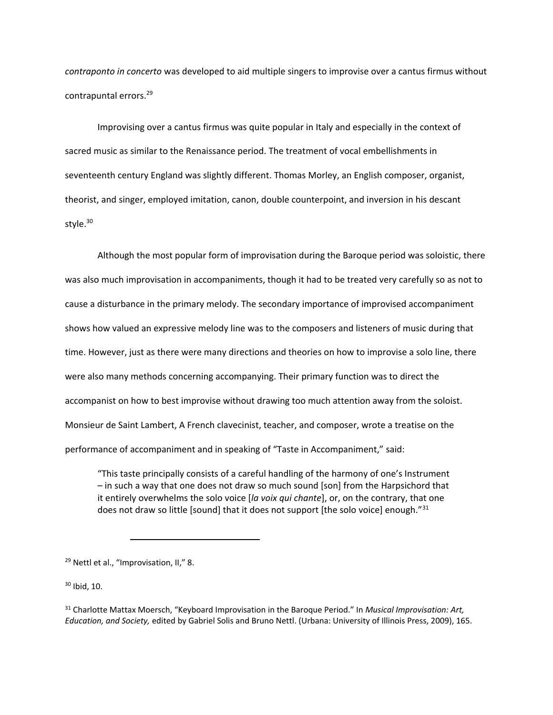*contraponto in concerto* was developed to aid multiple singers to improvise over a cantus firmus without contrapuntal errors.<sup>29</sup>

Improvising over a cantus firmus was quite popular in Italy and especially in the context of sacred music as similar to the Renaissance period. The treatment of vocal embellishments in seventeenth century England was slightly different. Thomas Morley, an English composer, organist, theorist, and singer, employed imitation, canon, double counterpoint, and inversion in his descant style.<sup>30</sup>

Although the most popular form of improvisation during the Baroque period was soloistic, there was also much improvisation in accompaniments, though it had to be treated very carefully so as not to cause a disturbance in the primary melody. The secondary importance of improvised accompaniment shows how valued an expressive melody line was to the composers and listeners of music during that time. However, just as there were many directions and theories on how to improvise a solo line, there were also many methods concerning accompanying. Their primary function was to direct the accompanist on how to best improvise without drawing too much attention away from the soloist. Monsieur de Saint Lambert, A French clavecinist, teacher, and composer, wrote a treatise on the performance of accompaniment and in speaking of "Taste in Accompaniment," said:

"This taste principally consists of a careful handling of the harmony of one's Instrument – in such a way that one does not draw so much sound [son] from the Harpsichord that it entirely overwhelms the solo voice [*la voix qui chante*], or, on the contrary, that one does not draw so little [sound] that it does not support [the solo voice] enough." $31$ 

 $\overline{\phantom{a}}$ 

<sup>30</sup> Ibid, 10.

<sup>&</sup>lt;sup>29</sup> Nettl et al., "Improvisation, II," 8.

<sup>31</sup> Charlotte Mattax Moersch, "Keyboard Improvisation in the Baroque Period." In *Musical Improvisation: Art, Education, and Society,* edited by Gabriel Solis and Bruno Nettl. (Urbana: University of Illinois Press, 2009), 165.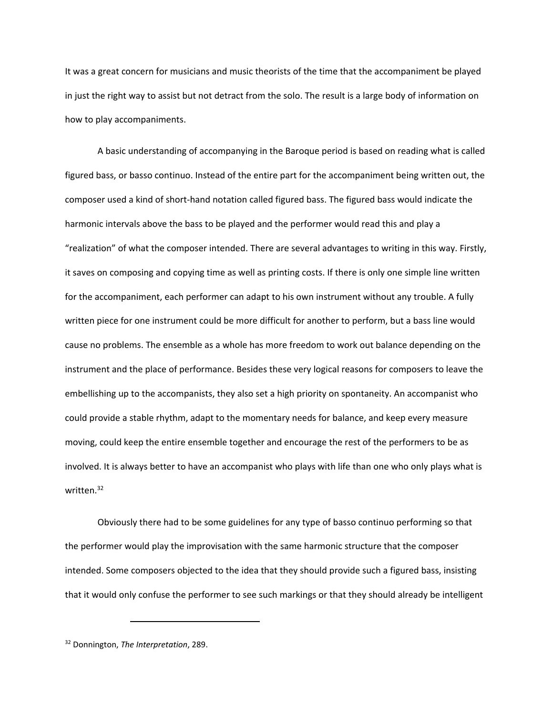It was a great concern for musicians and music theorists of the time that the accompaniment be played in just the right way to assist but not detract from the solo. The result is a large body of information on how to play accompaniments.

A basic understanding of accompanying in the Baroque period is based on reading what is called figured bass, or basso continuo. Instead of the entire part for the accompaniment being written out, the composer used a kind of short-hand notation called figured bass. The figured bass would indicate the harmonic intervals above the bass to be played and the performer would read this and play a "realization" of what the composer intended. There are several advantages to writing in this way. Firstly, it saves on composing and copying time as well as printing costs. If there is only one simple line written for the accompaniment, each performer can adapt to his own instrument without any trouble. A fully written piece for one instrument could be more difficult for another to perform, but a bass line would cause no problems. The ensemble as a whole has more freedom to work out balance depending on the instrument and the place of performance. Besides these very logical reasons for composers to leave the embellishing up to the accompanists, they also set a high priority on spontaneity. An accompanist who could provide a stable rhythm, adapt to the momentary needs for balance, and keep every measure moving, could keep the entire ensemble together and encourage the rest of the performers to be as involved. It is always better to have an accompanist who plays with life than one who only plays what is written.<sup>32</sup>

Obviously there had to be some guidelines for any type of basso continuo performing so that the performer would play the improvisation with the same harmonic structure that the composer intended. Some composers objected to the idea that they should provide such a figured bass, insisting that it would only confuse the performer to see such markings or that they should already be intelligent

<sup>32</sup> Donnington, *The Interpretation*, 289.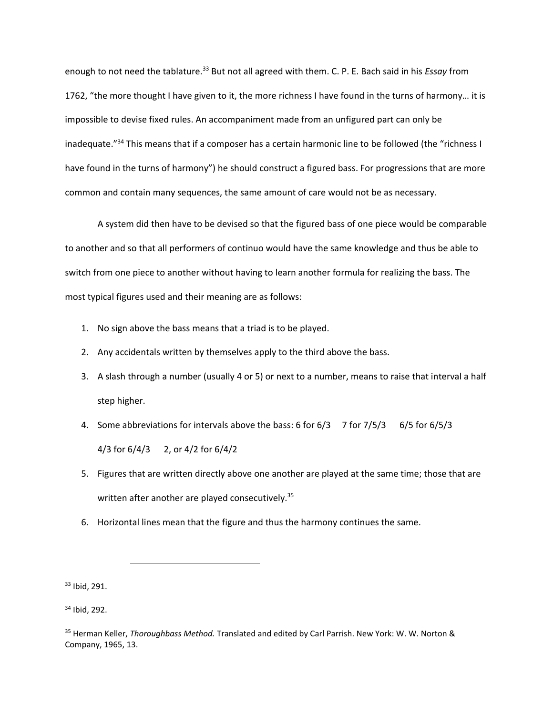enough to not need the tablature.<sup>33</sup> But not all agreed with them. C. P. E. Bach said in his *Essay* from 1762, "the more thought I have given to it, the more richness I have found in the turns of harmony… it is impossible to devise fixed rules. An accompaniment made from an unfigured part can only be inadequate."<sup>34</sup> This means that if a composer has a certain harmonic line to be followed (the "richness I have found in the turns of harmony") he should construct a figured bass. For progressions that are more common and contain many sequences, the same amount of care would not be as necessary.

A system did then have to be devised so that the figured bass of one piece would be comparable to another and so that all performers of continuo would have the same knowledge and thus be able to switch from one piece to another without having to learn another formula for realizing the bass. The most typical figures used and their meaning are as follows:

- 1. No sign above the bass means that a triad is to be played.
- 2. Any accidentals written by themselves apply to the third above the bass.
- 3. A slash through a number (usually 4 or 5) or next to a number, means to raise that interval a half step higher.
- 4. Some abbreviations for intervals above the bass: 6 for 6/3 7 for 7/5/3 6/5 for 6/5/3 4/3 for 6/4/3 2, or 4/2 for 6/4/2
- 5. Figures that are written directly above one another are played at the same time; those that are written after another are played consecutively.<sup>35</sup>
- 6. Horizontal lines mean that the figure and thus the harmony continues the same.

<sup>33</sup> Ibid, 291.

 $\overline{a}$ 

<sup>34</sup> Ibid, 292.

<sup>35</sup> Herman Keller, *Thoroughbass Method.* Translated and edited by Carl Parrish. New York: W. W. Norton & Company, 1965, 13.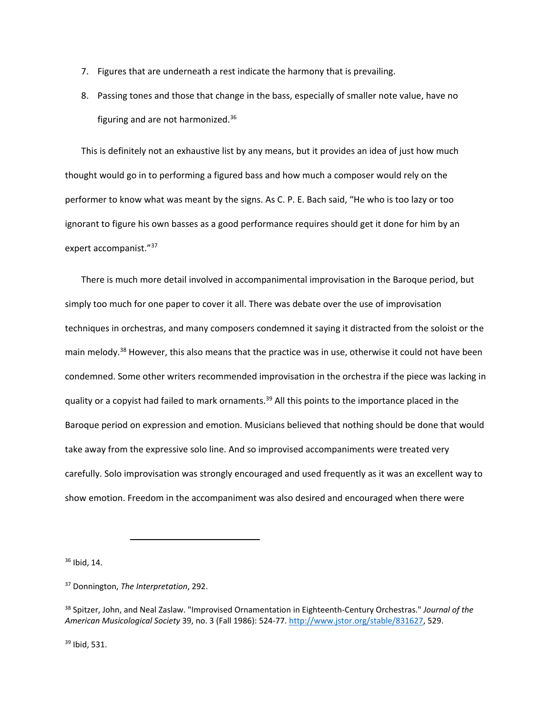- 7. Figures that are underneath a rest indicate the harmony that is prevailing.
- 8. Passing tones and those that change in the bass, especially of smaller note value, have no figuring and are not harmonized.<sup>36</sup>

This is definitely not an exhaustive list by any means, but it provides an idea of just how much thought would go in to performing a figured bass and how much a composer would rely on the performer to know what was meant by the signs. As C. P. E. Bach said, "He who is too lazy or too ignorant to figure his own basses as a good performance requires should get it done for him by an expert accompanist."<sup>37</sup>

There is much more detail involved in accompanimental improvisation in the Baroque period, but simply too much for one paper to cover it all. There was debate over the use of improvisation techniques in orchestras, and many composers condemned it saying it distracted from the soloist or the main melody.<sup>38</sup> However, this also means that the practice was in use, otherwise it could not have been condemned. Some other writers recommended improvisation in the orchestra if the piece was lacking in quality or a copyist had failed to mark ornaments.<sup>39</sup> All this points to the importance placed in the Baroque period on expression and emotion. Musicians believed that nothing should be done that would take away from the expressive solo line. And so improvised accompaniments were treated very carefully. Solo improvisation was strongly encouraged and used frequently as it was an excellent way to show emotion. Freedom in the accompaniment was also desired and encouraged when there were

<sup>36</sup> Ibid, 14.

<sup>37</sup> Donnington, *The Interpretation*, 292.

 $\overline{\phantom{a}}$ 

<sup>38</sup> Spitzer, John, and Neal Zaslaw. "Improvised Ornamentation in Eighteenth-Century Orchestras." *Journal of the American Musicological Society* 39, no. 3 (Fall 1986): 524-77. [http://www.jstor.org/stable/831627,](http://www.jstor.org/stable/831627) 529.

<sup>39</sup> Ibid, 531.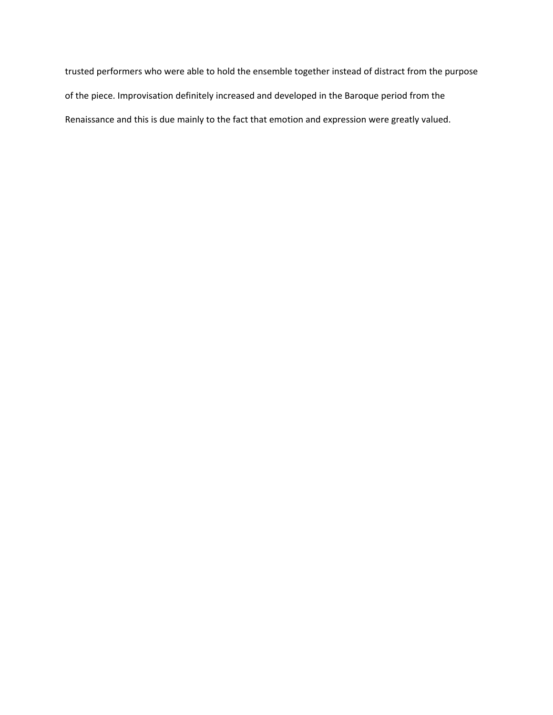trusted performers who were able to hold the ensemble together instead of distract from the purpose of the piece. Improvisation definitely increased and developed in the Baroque period from the Renaissance and this is due mainly to the fact that emotion and expression were greatly valued.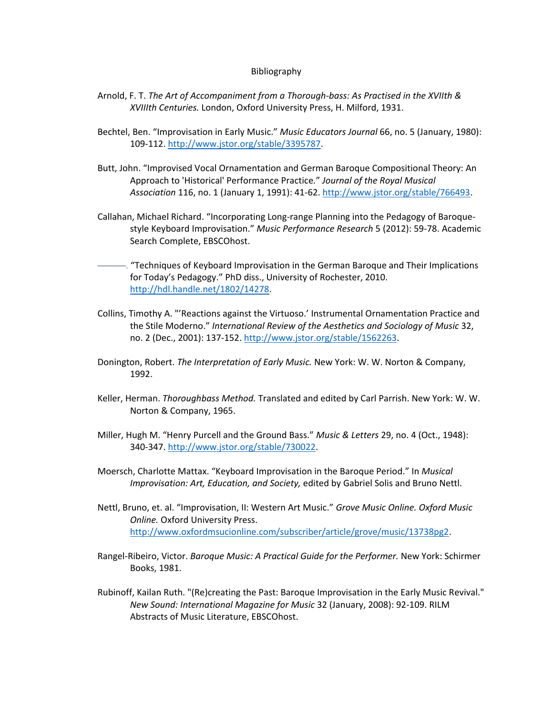## Bibliography

- Arnold, F. T. *The Art of Accompaniment from a Thorough-bass: As Practised in the XVIIth & XVIIIth Centuries.* London, Oxford University Press, H. Milford, 1931.
- Bechtel, Ben. "Improvisation in Early Music." *Music Educators Journal* 66, no. 5 (January, 1980): 109-112. [http://www.jstor.org/stable/3395787.](http://www.jstor.org/stable/3395787)
- Butt, John. "Improvised Vocal Ornamentation and German Baroque Compositional Theory: An Approach to 'Historical' Performance Practice*.*" *Journal of the Royal Musical Association* 116, no. 1 (January 1, 1991): 41-62. [http://www.jstor.org/stable/766493.](http://www.jstor.org/stable/766493)
- Callahan, Michael Richard. "Incorporating Long-range Planning into the Pedagogy of Baroquestyle Keyboard Improvisation." *Music Performance Research* 5 (2012): 59-78. Academic Search Complete, EBSCOhost.
- ———. "Techniques of Keyboard Improvisation in the German Baroque and Their Implications for Today's Pedagogy." PhD diss., University of Rochester, 2010. [http://hdl.handle.net/1802/14278.](http://hdl.handle.net/1802/14278)
- Collins, Timothy A. "'Reactions against the Virtuoso.' Instrumental Ornamentation Practice and the Stile Moderno." *International Review of the Aesthetics and Sociology of Music* 32, no. 2 (Dec., 2001): 137-152. [http://www.jstor.org/stable/1562263.](http://www.jstor.org/stable/1562263)
- Donington, Robert. *The Interpretation of Early Music.* New York: W. W. Norton & Company, 1992.
- Keller, Herman. *Thoroughbass Method.* Translated and edited by Carl Parrish. New York: W. W. Norton & Company, 1965.
- Miller, Hugh M. "Henry Purcell and the Ground Bass." *Music & Letters* 29, no. 4 (Oct., 1948): 340-347. [http://www.jstor.org/stable/730022.](http://www.jstor.org/stable/730022)
- Moersch, Charlotte Mattax. "Keyboard Improvisation in the Baroque Period." In *Musical Improvisation: Art, Education, and Society,* edited by Gabriel Solis and Bruno Nettl.
- Nettl, Bruno, et. al. "Improvisation, II: Western Art Music." *Grove Music Online. Oxford Music Online.* Oxford University Press. [http://www.oxfordmsucionline.com/subscriber/article/grove/music/13738pg2.](http://www.oxfordmsucionline.com/subscriber/article/grove/music/13738pg2)
- Rangel-Ribeiro, Victor. *Baroque Music: A Practical Guide for the Performer.* New York: Schirmer Books, 1981.
- Rubinoff, Kailan Ruth. "(Re)creating the Past: Baroque Improvisation in the Early Music Revival." *New Sound: International Magazine for Music* 32 (January, 2008): 92-109. RILM Abstracts of Music Literature, EBSCOhost.